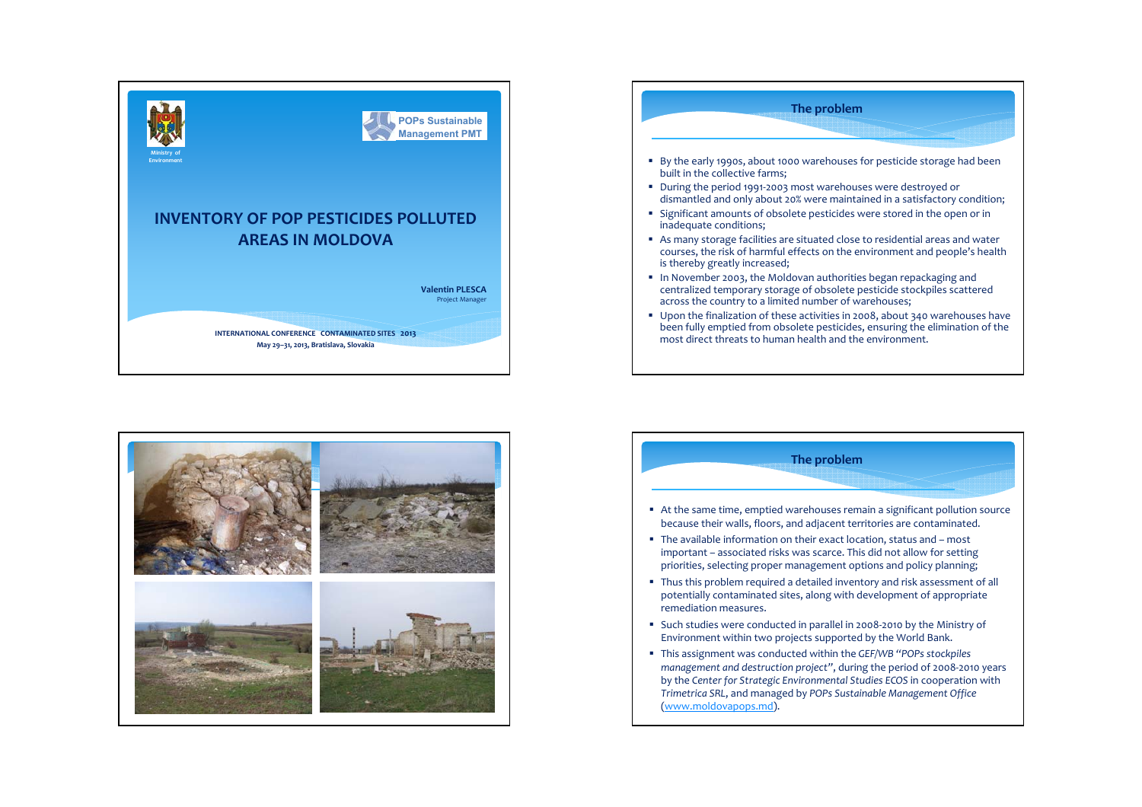





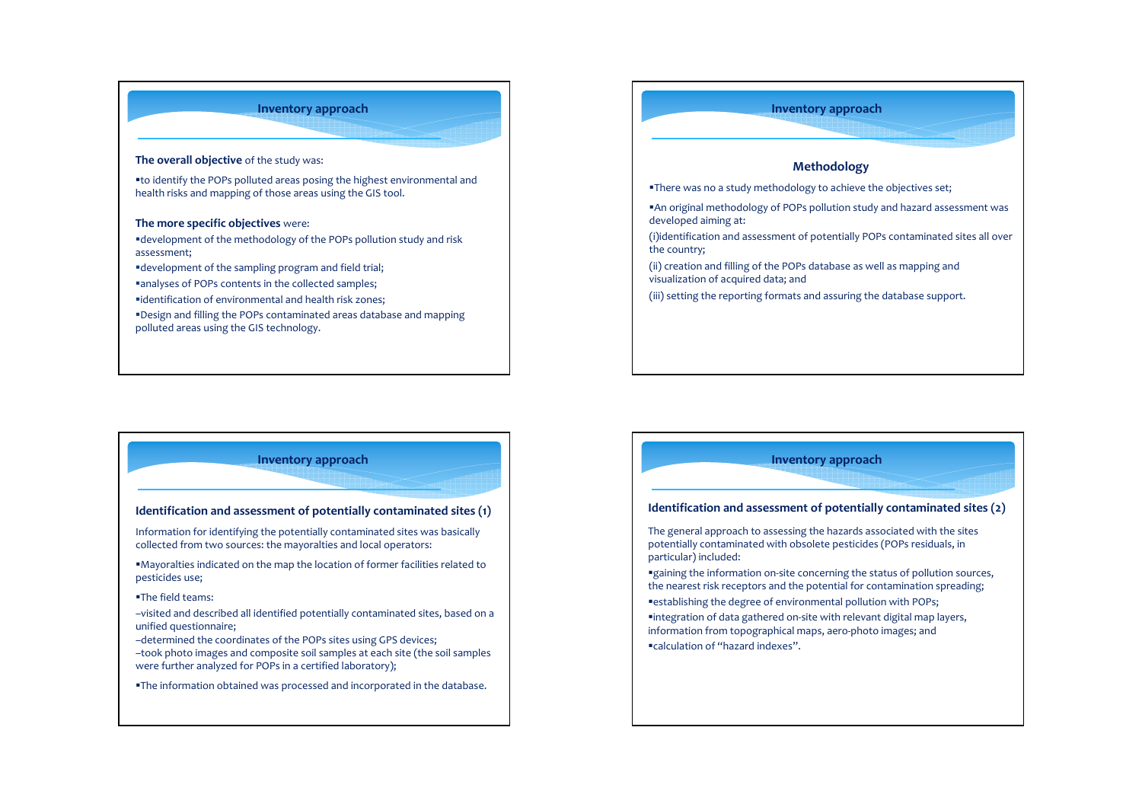## **Inventory approach**

#### **The overall objective** of the study was:

to identify the POPs polluted areas posing the highest environmental and health risks and mapping of those areas using the GIS tool.

#### **The more specific objectives** were:

development of the methodology of the POPs pollution study and risk assessment;

development of the sampling program and field trial;

analyses of POPs contents in the collected samples;

identification of environmental and health risk zones;

Design and filling the POPs contaminated areas database and mapping polluted areas using the GIS technology.

# **Methodology**

**Inventory approach**

There was no <sup>a</sup> study methodology to achieve the objectives set;

An original methodology of POPs pollution study and hazard assessment was developed aiming at:

(i)identification and assessment of potentially POPs contaminated sites all over the country;

(ii) creation and filling of the POPs database as well as mapping and visualization of acquired data; and

(iii) setting the reporting formats and assuring the database support.

# **Inventory approach**

#### **Identification and assessment of potentially contaminated sites (1)**

Information for identifying the potentially contaminated sites was basically collected from two sources: the mayoralties and local operators:

Mayoralties indicated on the map the location of former facilities related to pesticides use;

#### The field teams:

–visited and described all identified potentially contaminated sites, based on <sup>a</sup> unified questionnaire;

–determined the coordinates of the POPs sites using GPS devices;

–took photo images and composite soil samples at each site (the soil samples were further analyzed for POPs in <sup>a</sup> certified laboratory);

The information obtained was processed and incorporated in the database.

# **Inventory approach Identification and assessment of potentially contaminated sites (2)** The general approach to assessing the hazards associated with the sites potentially contaminated with obsolete pesticides (POPs residuals, in particular) included: ■gaining the information on-site concerning the status of pollution sources, the nearest risk receptors and the potential for contamination spreading; establishing the degree of environmental pollution with POPs; integration of data gathered on‐site with relevant digital map layers, information from topographical maps, aero‐photo images; and calculation of "hazard indexes".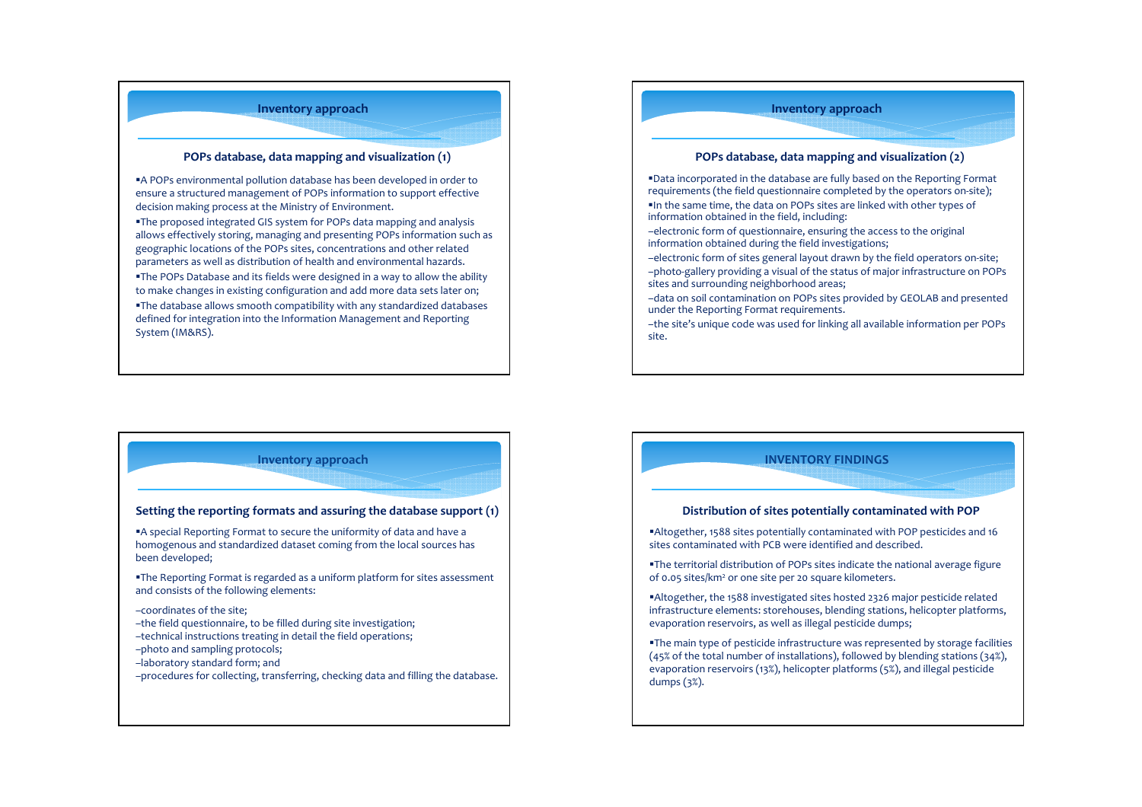# **Inventory approach**

### **POPs database, data mapping and visualization (1)**

A POPs environmental pollution database has been developed in order to ensure <sup>a</sup> structured management of POPs information to suppor<sup>t</sup> effective decision making process at the Ministry of Environment.

The proposed integrated GIS system for POPs data mapping and analysis allows effectively storing, managing and presenting POPs information such as geographic locations of the POPs sites, concentrations and other related parameters as well as distribution of health and environmental hazards.

The POPs Database and its fields were designed in <sup>a</sup> way to allow the ability to make changes in existing configuration and add more data sets later on;

The database allows smooth compatibility with any standardized databases defined for integration into the Information Management and Reporting System (IM&RS).

# **POPs database, data mapping and visualization (2)**

**Inventory approach**

Data incorporated in the database are fully based on the Reporting Format requirements (the field questionnaire completed by the operators on‐site);

- $\blacksquare$ In the same time, the data on POPs sites are linked with other types of information obtained in the field, including:
- –electronic form of questionnaire, ensuring the access to the original information obtained during the field investigations;
- –electronic form of sites general layout drawn by the field operators on‐site;
- –photo‐gallery providing <sup>a</sup> visual of the status of major infrastructure on POPs sites and surrounding neighborhood areas;
- –data on soil contamination on POPs sites provided by GEOLAB and presented under the Reporting Format requirements.
- –the site's unique code was used for linking all available information per POPs site.

## **Inventory approach**

#### **Setting the reporting formats and assuring the database suppor<sup>t</sup> (1)**

A special Reporting Format to secure the uniformity of data and have <sup>a</sup> homogenous and standardized dataset coming from the local sources has been developed;

The Reporting Format is regarded as <sup>a</sup> uniform platform for sites assessment and consists of the following elements:

#### –coordinates of the site;

- –the field questionnaire, to be filled during site investigation;
- –technical instructions treating in detail the field operations;
- –photo and sampling protocols;
- –laboratory standard form; and
- –procedures for collecting, transferring, checking data and filling the database.

# **INVENTORY FINDINGS Distribution of sites potentially contaminated with POP** Altogether, 1588 sites potentially contaminated with POP pesticides and 16 sites contaminated with PCB were identified and described. The territorial distribution of POPs sites indicate the national average figure of 0.05 sites/km² or one site per 20 square kilometers.

- Altogether, the 1588 investigated sites hosted 2326 major pesticide related infrastructure elements: storehouses, blending stations, helicopter platforms, evaporation reservoirs, as well as illegal pesticide dumps;
- The main type of pesticide infrastructure was represented by storage facilities (45% of the total number of installations), followed by blending stations (34%), evaporation reservoirs (13%), helicopter platforms (5%), and illegal pesticide dumps (3%).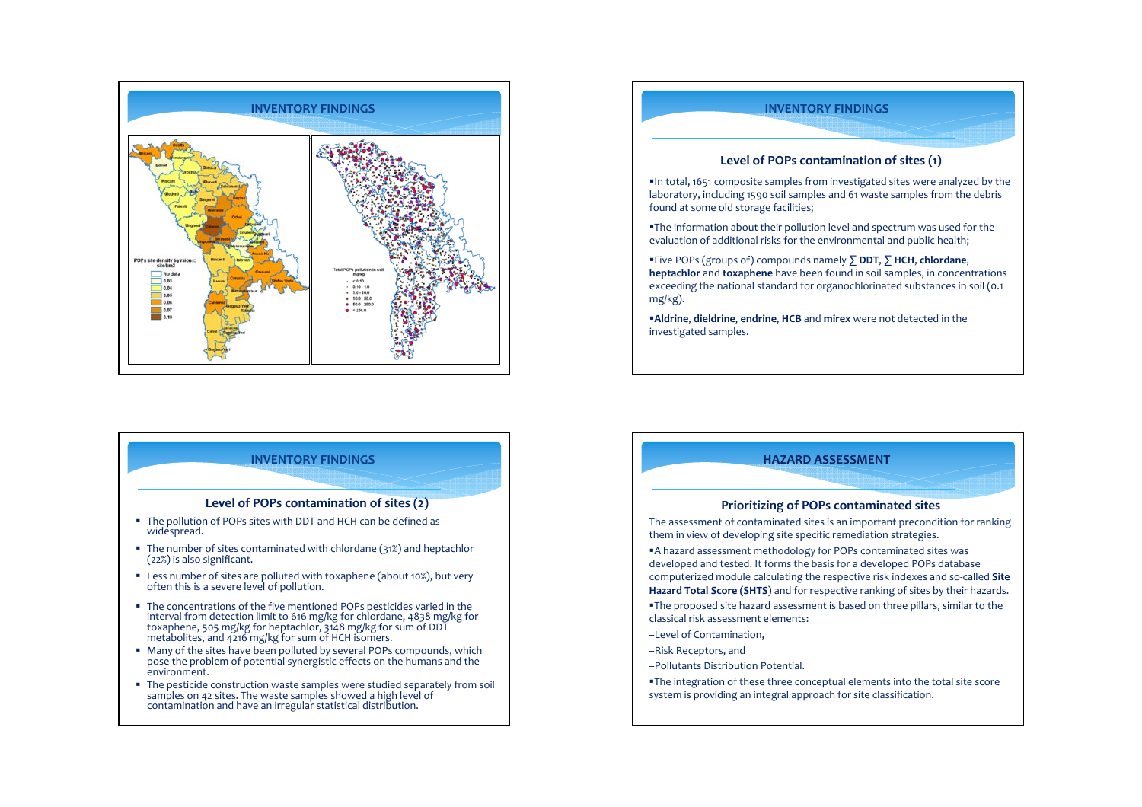

## **INVENTORY FINDINGS**

### **Level of POPs contamination of sites (2)**

- The pollution of POPs sites with DDT and HCH can be defined as widespread.
- The number of sites contaminated with chlordane (31%) and heptachlor (22%) is also significant.
- Less number of sites are polluted with toxaphene (about 10%), but very often this is <sup>a</sup> severe level of pollution.
- The concentrations of the five mentioned POPs pesticides varied in the interval from detection limit to 616 mg/kg for chlordane, 4838 mg/kg for toxaphene, 505 mg/kg for heptachlor, 3148 mg/kg for sum of DDT metabolites, and 4216 mg/kg for sum of HCH isomers.
- Many of the sites have been polluted by several POPs compounds, which pose the problem of potential synergistic effects on the humans and the environment.
- The pesticide construction waste samples were studied separately from soil samples on 42 sites. The waste samples showed a high level of contamination and have an irregular statistical distribution.



## **HAZARD ASSESSMENT**

#### **Prioritizing of POPs contaminated sites**

The assessment of contaminated sites is an important precondition for ranking them in view of developing site specific remediation strategies.

A hazard assessment methodology for POPs contaminated sites was developed and tested. It forms the basis for <sup>a</sup> developed POPs database computerized module calculating the respective risk indexes and so‐called **Site Hazard Total Score (SHTS**) and for respective ranking of sites by their hazards.

The proposed site hazard assessment is based on three pillars, similar to the classical risk assessment elements:

- –Level of Contamination,
- –Risk Receptors, and
- –Pollutants Distribution Potential.
- The integration of these three conceptual elements into the total site score system is providing an integral approach for site classification.